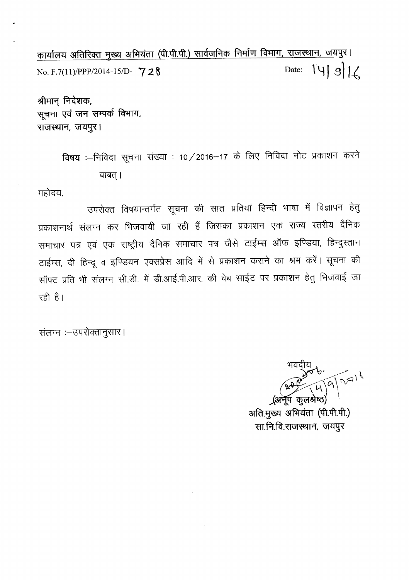कार्यालय अतिरिक्त मुख्य अभियंता (पी.पी.पी.) सार्वजनिक निर्माण विभाग, राजस्थान, जयपुर। No. F.7(11)/PPP/2014-15/D- **728** Date:  $\begin{bmatrix} 1 \ 9 \end{bmatrix} \begin{bmatrix} 3 \end{bmatrix}$ 

श्रीमान् निदेशक, सूचना एवं जन सम्पर्क विभाग, राजस्थान, जयपुर।

> विषय :—निविदा सूचना संख्या : 10/2016—17 के लिए निविदा नोट प्रकाशन क बाबत् ।

महोदय,

उपरोक्त विषयान्तर्गत सूचना की सात प्रतियां हिन्दी भाषा में विज्ञापन हेतु प्रकाशनार्थ संलग्न कर भिजवायी जा रही हैं जिसका प्रकाशन एक राज्य स्तरीय दैनिक समाचार पत्र एवं एक राष्ट्रीय दैनिक समाचार पत्र जैसे टाईम्स ऑफ इण्डिया, हिन्दुस्तान टाईम्स, दी हिन्दू व इण्डियन एक्सप्रेस आदि में से प्रकाशन कराने का श्रम करें। सूचना की सॉफ्ट प्रति भी संलग्न सी.डी. में डी.आई.पी.आर. की वेब साईट पर प्रकाशन हेतु भिजवाई जा रही है।

संलग्न :- उपरोक्तानुसार ।

**+**  $200000$ <br> $200000$ <u>, अर्नेप क</u>लश्रेष्ठ'

अति.मुख्य अभियंता (पी.पी.पी.) सा.नि.वि.राजस्थान, जयपुर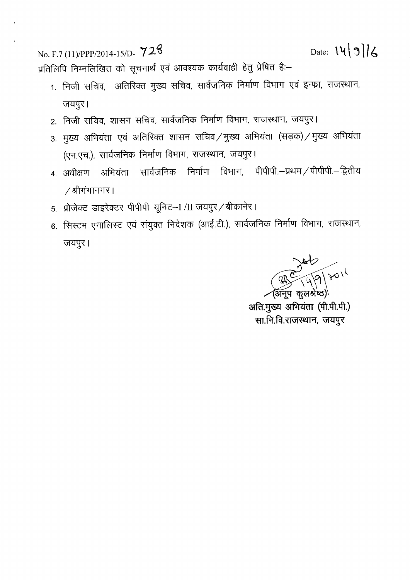$\text{No. F.7 (11)}/\text{PPP/2014-15/D} \cdot 728$  Date:  $\left| \sqrt{9} \right|$ 

प्रतिलिपि निम्नलिखित को सूचनार्थ एवं आवश्यक कार्यवाही हेतु प्रेषित है:-

- 1. निजी सचिव, अतिरिक्त मुख्य सचिव, सार्वजनिक निर्माण विभाग एवं इन्फ्रा, राजस्थान, जयपुर।
- 2. निजी सचिव, शासन सचिव, सार्वजनिक निर्माण विभाग, राजस्थान, जयपुर।
- 3. मुख्य अभियंता एवं अतिरिक्त शासन सचिव / मुख्य अभियंता (सड़क) / मुख्य अभियंता (एन.एच.), सार्वजनिक निर्माण विभाग, राजस्थान, जयपुर।
- 4. अधीक्षण अभियंता सार्वजनिक निर्माण विभाग, पीपीपी.–प्रथम/पीपीपी.–द्वितीय / श्रीगंगानगर |
- 5. प्रोजेक्ट डाइरेक्टर पीपीपी यूनिट-I /II जयपुर / बीकानेर।
- 6. सिस्टम एनालिस्ट एवं संयुक्त निदेशक (आई.टी.), सार्वजनिक निर्माण विभाग, राजस्थान, जयपुर।

~  $\sqrt{91801}$ <u>अ</u>नूप कुलश्रे

अति.मुख्य अभियंता (पी.पी.पी.) सा.नि.वि.राजस्थान, जयपुर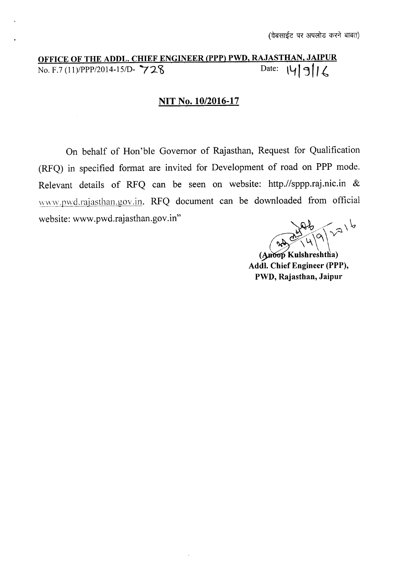# **OFFICE OF THE ADDL. CHIEF ENGINEER (PPP) PWD, RAJASTHAN, JAIPUR**  $\overline{N_0 F.7 (11) / PPP/2014-15}$

# **NIT No. 10/2016-17**

On behalf of Hon'ble Governor of Rajasthan, Request for Qualification (RFQ) in specified format are invited for Development of road on **PPP** mode. Relevant details of RFQ can be seen on website: http.//sppp.raj.nic.in & www.pwd.rajasthan.gov.in. RFQ document can be downloaded from official website: www.pwd.rajasthan.gov.in"

 $7^{\frac{1}{2}}$   $4^{19}$ 

(Anoop Kulshreshtha) **Addl. Chief Engineer (PPP), PWD, Rajasthan, Jaipur**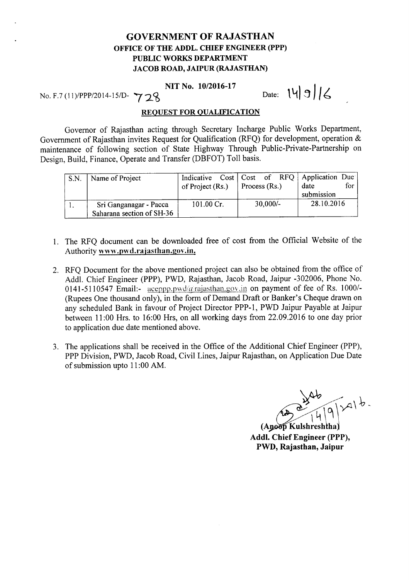## GOVERNMENT OF RAJASTHAN OFFICE OF THE ADDL. CHIEF ENGINEER (PPP) PUBLIC WORKS DEPARTMENT JACOB ROAD, JAIPUR (RAJASTHAN)

### NIT No. *10/2016-17*

NIT No. 10/2016-17<br>No. F.7 (11)/PPP/2014-15/D-  $\gamma$  <sub>2</sub>8 Date:  $|4|9|6$ 

#### REQUEST FOR QUALIFICATION

Governor of Rajasthan acting through Secretary Incharge Public Works Department, Government of Rajasthan invites Request for Qualification (RFQ) for development, operation & maintenance of following section of State Highway Through Public-Private-Partnership on Design, Build, Finance, Operate and Transfer (DBFOT) Toll basis.

| S.N. | Name of Project                                     | of Project (Rs.) | Process (Rs.) |            | Indicative Cost   Cost of RFQ   Application Due<br>date<br>submission | for |
|------|-----------------------------------------------------|------------------|---------------|------------|-----------------------------------------------------------------------|-----|
|      | Sri Ganganagar - Pacca<br>Saharana section of SH-36 | 101.00 Cr.       |               | $30,000/-$ | 28.10.2016                                                            |     |

- 1. The RFQ document can be downloaded free of cost from the Official Website of the Authority www.pwd.rajasthan.gov.in.
- 2. RFQ Document for the above mentioned project can also be obtained from the office of Addl. Chief Engineer (PPP), PWD, Rajasthan, Jacob Road, Jaipur -302006, Phone No. 0141-5110547 Email:-  $\frac{\text{accepting\_pwdd/}a\text{rajasthan.gov.in}}{\text{output of fee of Rs. 1000/}}$ (Rupees One thousand only), in the form of Demand Draft or Banker's Cheque drawn on any scheduled Bank in favour of Project Director PPP-l, PWD Jaipur Payable at Jaipur between 11:00 Hrs. to 16:00 Hrs, on all working days from 22.09.2016 to one day prior to application due date mentioned above.
- 3. The applications shall be received in the Office of the Additional Chief Engineer (PPP), PPP Division, PWD, Jacob Road, Civil Lines, Jaipur Rajasthan, on Application Due Date of submission upto 11:00 AM.

ab<br>14/9/201b.

(Anoop Kulshreshtha) Addl. Chief Engineer (PPP), PWD, Rajasthan, Jaipur